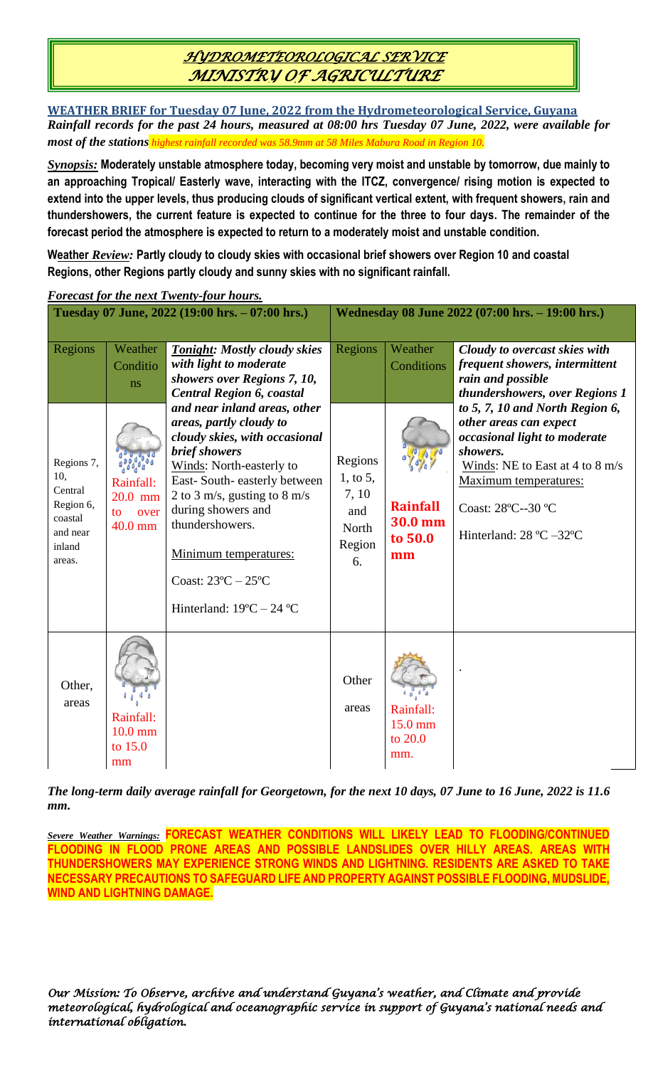# *HYDROMETEOROLOGICAL SERVICE MINISTRY OF AGRICULTURE*

**WEATHER BRIEF for Tuesday 07 June, 2022 from the Hydrometeorological Service, Guyana** *Rainfall records for the past 24 hours, measured at 08:00 hrs Tuesday 07 June, 2022, were available for most of the stations highest rainfall recorded was 58.9mm at 58 Miles Mabura Road in Region 10.*

*Synopsis:* **Moderately unstable atmosphere today, becoming very moist and unstable by tomorrow, due mainly to an approaching Tropical/ Easterly wave, interacting with the ITCZ, convergence/ rising motion is expected to extend into the upper levels, thus producing clouds of significant vertical extent, with frequent showers, rain and thundershowers, the current feature is expected to continue for the three to four days. The remainder of the forecast period the atmosphere is expected to return to a moderately moist and unstable condition.**

**Weather** *Review:* **Partly cloudy to cloudy skies with occasional brief showers over Region 10 and coastal Regions, other Regions partly cloudy and sunny skies with no significant rainfall.**

| <b>Forecast for the next Twenty-four hours.</b>                                                 |                                                                              |                                                                                                                                                                                                                                                                                                                                                                                                                                                                                                 |                                                                                                                                                                                                                                                                                   |                                        |                                                                                                                                                                                                                                  |  |  |  |  |
|-------------------------------------------------------------------------------------------------|------------------------------------------------------------------------------|-------------------------------------------------------------------------------------------------------------------------------------------------------------------------------------------------------------------------------------------------------------------------------------------------------------------------------------------------------------------------------------------------------------------------------------------------------------------------------------------------|-----------------------------------------------------------------------------------------------------------------------------------------------------------------------------------------------------------------------------------------------------------------------------------|----------------------------------------|----------------------------------------------------------------------------------------------------------------------------------------------------------------------------------------------------------------------------------|--|--|--|--|
| Tuesday 07 June, 2022 (19:00 hrs. - 07:00 hrs.)                                                 |                                                                              |                                                                                                                                                                                                                                                                                                                                                                                                                                                                                                 | Wednesday 08 June 2022 (07:00 hrs. - 19:00 hrs.)                                                                                                                                                                                                                                  |                                        |                                                                                                                                                                                                                                  |  |  |  |  |
| Regions<br>Regions 7,<br>10,<br>Central<br>Region 6,<br>coastal<br>and near<br>inland<br>areas. | Weather<br>Conditio<br>ns<br>Rainfall:<br>20.0 mm<br>over<br>to<br>$40.0$ mm | <b>Tonight: Mostly cloudy skies</b><br>with light to moderate<br>showers over Regions 7, 10,<br><b>Central Region 6, coastal</b><br>and near inland areas, other<br>areas, partly cloudy to<br>cloudy skies, with occasional<br>brief showers<br>Winds: North-easterly to<br>East-South-easterly between<br>2 to 3 m/s, gusting to 8 m/s<br>during showers and<br>thundershowers.<br>Minimum temperatures:<br>Coast: $23^{\circ}$ C $- 25^{\circ}$ C<br>Hinterland: $19^{\circ}C - 24^{\circ}C$ | Regions<br>Weather<br>Conditions<br>rain and possible<br>other areas can expect<br>showers.<br>Regions<br>$1,$ to 5,<br>7, 10<br><b>Rainfall</b><br>Coast: 28°C--30 °C<br>and<br>30.0 mm<br>North<br>Hinterland: $28 \text{ °C} - 32 \text{ °C}$<br>to 50.0<br>Region<br>mm<br>6. |                                        | Cloudy to overcast skies with<br>frequent showers, intermittent<br>thundershowers, over Regions 1<br>to 5, 7, 10 and North Region 6,<br>occasional light to moderate<br>Winds: NE to East at 4 to 8 m/s<br>Maximum temperatures: |  |  |  |  |
| Other,<br>areas                                                                                 | Rainfall:<br>$10.0$ mm<br>to 15.0<br>mm                                      |                                                                                                                                                                                                                                                                                                                                                                                                                                                                                                 | Other<br>areas                                                                                                                                                                                                                                                                    | Rainfall:<br>15.0 mm<br>to 20.0<br>mm. |                                                                                                                                                                                                                                  |  |  |  |  |

*The long-term daily average rainfall for Georgetown, for the next 10 days, 07 June to 16 June, 2022 is 11.6 mm.*

*Severe Weather Warnings:* **FORECAST WEATHER CONDITIONS WILL LIKELY LEAD TO FLOODING/CONTINUED FLOODING IN FLOOD PRONE AREAS AND POSSIBLE LANDSLIDES OVER HILLY AREAS. AREAS WITH THUNDERSHOWERS MAY EXPERIENCE STRONG WINDS AND LIGHTNING. RESIDENTS ARE ASKED TO TAKE NECESSARY PRECAUTIONS TO SAFEGUARD LIFE AND PROPERTY AGAINST POSSIBLE FLOODING, MUDSLIDE, WIND AND LIGHTNING DAMAGE.**

*Our Mission: To Observe, archive and understand Guyana's weather, and Climate and provide meteorological, hydrological and oceanographic service in support of Guyana's national needs and international obligation.*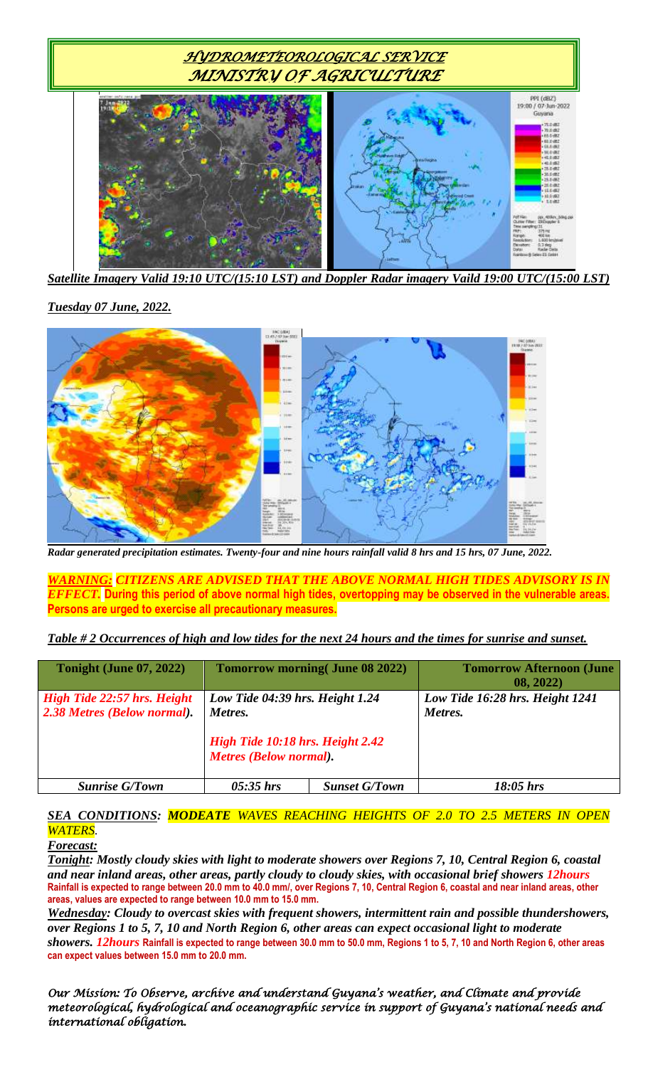

*Satellite Imagery Valid 19:10 UTC/(15:10 LST) and Doppler Radar imagery Vaild 19:00 UTC/(15:00 LST)*

*Tuesday 07 June, 2022.*



*Radar generated precipitation estimates. Twenty-four and nine hours rainfall valid 8 hrs and 15 hrs, 07 June, 2022.*

*WARNING: CITIZENS ARE ADVISED THAT THE ABOVE NORMAL HIGH TIDES ADVISORY IS IN EFFECT.* **During this period of above normal high tides, overtopping may be observed in the vulnerable areas. Persons are urged to exercise all precautionary measures.**

|  | Table # 2 Occurrences of high and low tides for the next 24 hours and the times for sunrise and sunset. |  |  |
|--|---------------------------------------------------------------------------------------------------------|--|--|
|--|---------------------------------------------------------------------------------------------------------|--|--|

| <b>Tonight (June 07, 2022)</b>                                    |                                                                                                                 | <b>Tomorrow morning (June 08 2022)</b> | <b>Tomorrow Afternoon (June</b><br>08, 2022) |
|-------------------------------------------------------------------|-----------------------------------------------------------------------------------------------------------------|----------------------------------------|----------------------------------------------|
| <b>High Tide 22:57 hrs. Height</b><br>2.38 Metres (Below normal). | Low Tide 04:39 hrs. Height 1.24<br>Metres.<br>High Tide 10:18 hrs. Height 2.42<br><b>Metres (Below normal).</b> |                                        | Low Tide 16:28 hrs. Height 1241<br>Metres.   |
| <b>Sunrise G/Town</b>                                             | $05:35$ hrs                                                                                                     | <b>Sunset G/Town</b>                   | $18:05$ hrs                                  |

### *SEA CONDITIONS: MODEATE WAVES REACHING HEIGHTS OF 2.0 TO 2.5 METERS IN OPEN WATERS.*

#### *Forecast:*

*Tonight: Mostly cloudy skies with light to moderate showers over Regions 7, 10, Central Region 6, coastal and near inland areas, other areas, partly cloudy to cloudy skies, with occasional brief showers 12hours* **Rainfall is expected to range between 20.0 mm to 40.0 mm/, over Regions 7, 10, Central Region 6, coastal and near inland areas, other areas, values are expected to range between 10.0 mm to 15.0 mm.**

*Wednesday: Cloudy to overcast skies with frequent showers, intermittent rain and possible thundershowers, over Regions 1 to 5, 7, 10 and North Region 6, other areas can expect occasional light to moderate showers. 12hours* **Rainfall is expected to range between 30.0 mm to 50.0 mm, Regions 1 to 5, 7, 10 and North Region 6, other areas can expect values between 15.0 mm to 20.0 mm.**

*Our Mission: To Observe, archive and understand Guyana's weather, and Climate and provide meteorological, hydrological and oceanographic service in support of Guyana's national needs and international obligation.*